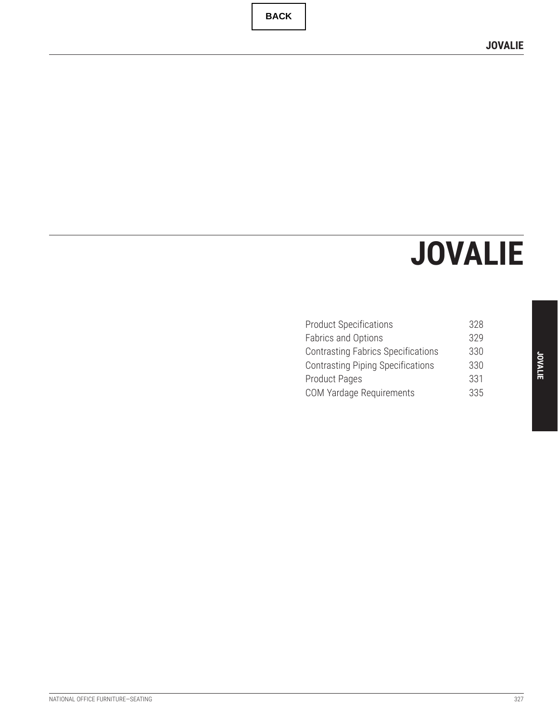# **JOVALIE**

| <b>Product Specifications</b>             | 328 |  |
|-------------------------------------------|-----|--|
| <b>Fabrics and Options</b>                | 329 |  |
| <b>Contrasting Fabrics Specifications</b> | 330 |  |
| <b>Contrasting Piping Specifications</b>  | 330 |  |
| <b>Product Pages</b>                      | 331 |  |
| <b>COM Yardage Requirements</b>           | 335 |  |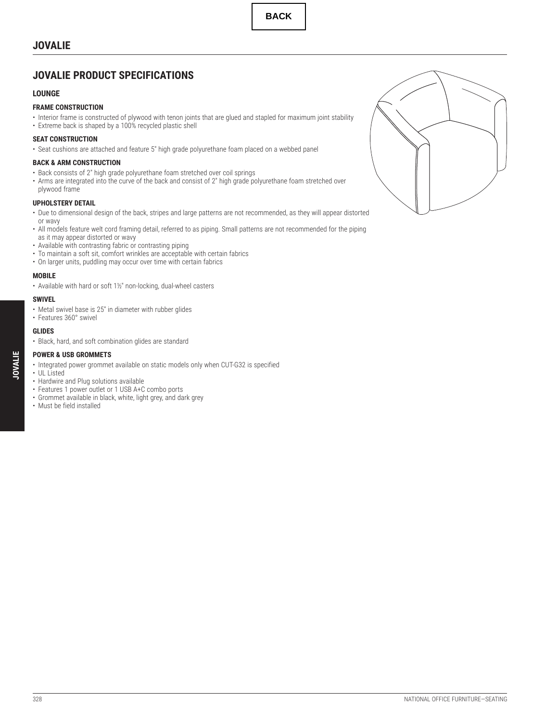## <span id="page-1-0"></span>**JOVALIE**

## **JOVALIE PRODUCT SPECIFICATIONS**

#### **LOUNGE**

#### **FRAME CONSTRUCTION**

- Interior frame is constructed of plywood with tenon joints that are glued and stapled for maximum joint stability
- Extreme back is shaped by a 100% recycled plastic shell

#### **SEAT CONSTRUCTION**

• Seat cushions are attached and feature 5" high grade polyurethane foam placed on a webbed panel

#### **BACK & ARM CONSTRUCTION**

- Back consists of 2" high grade polyurethane foam stretched over coil springs
- Arms are integrated into the curve of the back and consist of 2" high grade polyurethane foam stretched over plywood frame

#### **UPHOLSTERY DETAIL**

- Due to dimensional design of the back, stripes and large patterns are not recommended, as they will appear distorted or wavy
- All models feature welt cord framing detail, referred to as piping. Small patterns are not recommended for the piping as it may appear distorted or wavy
- Available with contrasting fabric or contrasting piping
- To maintain a soft sit, comfort wrinkles are acceptable with certain fabrics
- On larger units, puddling may occur over time with certain fabrics

#### **MOBILE**

• Available with hard or soft 11/2" non-locking, dual-wheel casters

#### **SWIVEL**

- Metal swivel base is 25" in diameter with rubber glides
- Features 360° swivel

#### **GLIDES**

• UL Listed

• Black, hard, and soft combination glides are standard

#### **POWER & USB GROMMETS**

• Integrated power grommet available on static models only when CUT-G32 is specified

- Hardwire and Plug solutions available
- Features 1 power outlet or 1 USB A+C combo ports
- Grommet available in black, white, light grey, and dark grey
- Must be field installed

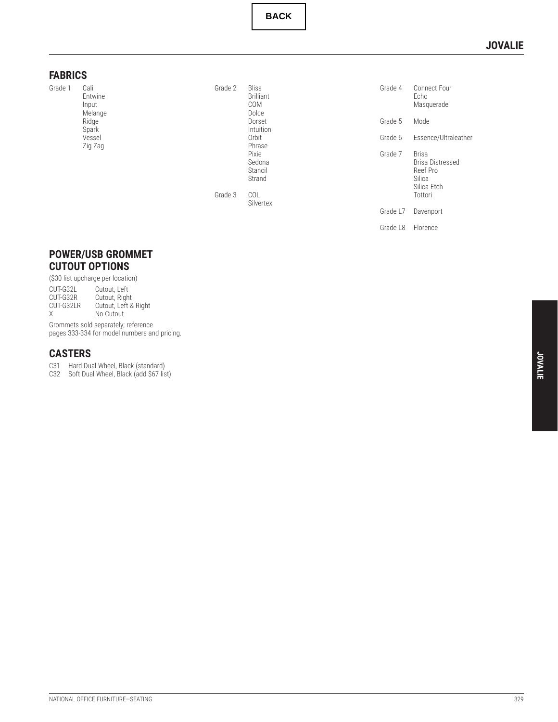### **JOVALIE**

#### <span id="page-2-0"></span>**FABRICS**

Grade 1 Cali

Entwine Input Melange Ridge Spark Vessel Zig Zag

Grade 2 Bliss Brilliant COM Dolce Dorset Intuition Orbit Phrase Pixie Sedona Stancil Strand Grade 3 COL Silvertex

| Grade 4  | Connect Four<br>Echo<br>Masquerade                                        |
|----------|---------------------------------------------------------------------------|
| Grade 5  | Mode                                                                      |
| Grade 6  | Essence/Ultraleather                                                      |
| Grade 7  | Brisa<br>Brisa Distressed<br>Reef Pro<br>Silica<br>Silica Etch<br>Tottori |
| Grade L7 | Davenport                                                                 |
| Grade L8 | Florence                                                                  |

#### **POWER/USB GROMMET CUTOUT OPTIONS**

(\$30 list upcharge per location)<br>CUT-G32L Cutout, Left<br>CUT-G32R Cutout, Right CUT-G32L Cutout, Left CUT-G32R Cutout, Right CUT-G32LR Cutout, Left & Right X No Cutout Grommets sold separately; reference pages [333](#page-6-0)[-334](#page-7-0) for model numbers and pricing.

## **CASTERS**

C31 Hard Dual Wheel, Black (standard)

C32 Soft Dual Wheel, Black (add \$67 list)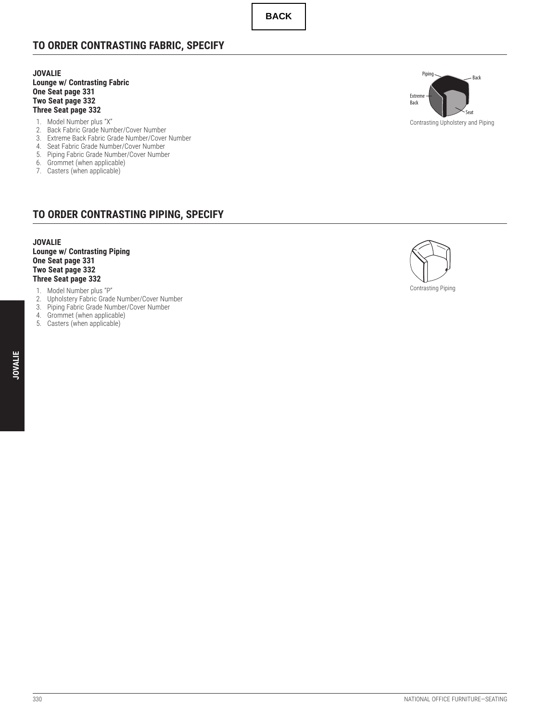## <span id="page-3-0"></span>**TO ORDER CONTRASTING FABRIC, SPECIFY**

**JOVALIE Lounge w/ Contrasting Fabric One Seat page [331](#page-4-0) Two Seat page [332](#page-5-0) Three Seat page [332](#page-5-0)**

- 1. Model Number plus "X"
- 2. Back Fabric Grade Number/Cover Number
- 3. Extreme Back Fabric Grade Number/Cover Number
- 4. Seat Fabric Grade Number/Cover Number
- 5. Piping Fabric Grade Number/Cover Number
- 6. Grommet (when applicable)
- 7. Casters (when applicable)

## **TO ORDER CONTRASTING PIPING, SPECIFY**

#### **JOVALIE Lounge w/ Contrasting Piping One Seat page [331](#page-4-0) Two Seat page [332](#page-5-0)**

## **Three Seat page [332](#page-5-0)**

- 1. Model Number plus "P"
- 2. Upholstery Fabric Grade Number/Cover Number
- 3. Piping Fabric Grade Number/Cover Number
- 4. Grommet (when applicable)
- 5. Casters (when applicable)





Contrasting Piping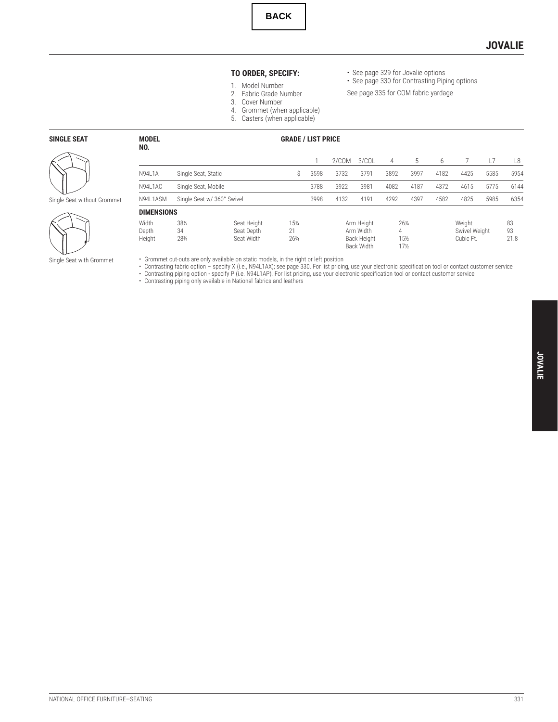#### **JOVALIE**

#### **TO ORDER, SPECIFY:**

- See page [329](#page-2-0) for Jovalie options
- See page [330](#page-3-0) for Contrasting Piping options See page [335](#page-8-0) for COM fabric yardage
- 1. Model Number 2. Fabric Grade Number
- 
- 3. Cover Number
- 4. Grommet (when applicable)
- 5. Casters (when applicable)

**MODEL GRADE / LIST PRICE**

#### <span id="page-4-0"></span>**SINGLE SEAT**



## Single Seat without Grommet

**NO.**



|                          |                            |                                         |                    |      | 2/COM | 3/COL                                                | 4    | 5                   |      |                                      |      | L8               |
|--------------------------|----------------------------|-----------------------------------------|--------------------|------|-------|------------------------------------------------------|------|---------------------|------|--------------------------------------|------|------------------|
| <b>N94L1A</b>            | Single Seat, Static        |                                         | S                  | 3598 | 3732  | 3791                                                 | 3892 | 3997                | 4182 | 4425                                 | 5585 | 5954             |
| N94L1AC                  | Single Seat, Mobile        |                                         |                    | 3788 | 3922  | 3981                                                 | 4082 | 4187                | 4372 | 4615                                 | 5775 | 6144             |
| N94L1ASM                 | Single Seat w/ 360° Swivel |                                         |                    | 3998 | 4132  | 4191                                                 | 4292 | 4397                | 4582 | 4825                                 | 5985 | 6354             |
| <b>DIMENSIONS</b>        |                            |                                         |                    |      |       |                                                      |      |                     |      |                                      |      |                  |
| Width<br>Depth<br>Height | 381/2<br>34<br>281/4       | Seat Height<br>Seat Depth<br>Seat Width | 15%<br>21<br>263/4 |      |       | Arm Height<br>Arm Width<br>Back Height<br>Back Width | 4    | 261/4<br>15%<br>17½ |      | Weight<br>Swivel Weight<br>Cubic Ft. |      | 83<br>93<br>21.8 |

• Grommet cut-outs are only available on static models, in the right or left position<br>• Contrasting fabric option – specify X (i.e., N94L1AX); see page [330.](#page-3-0) For list pricing, use your electronic specification tool or conta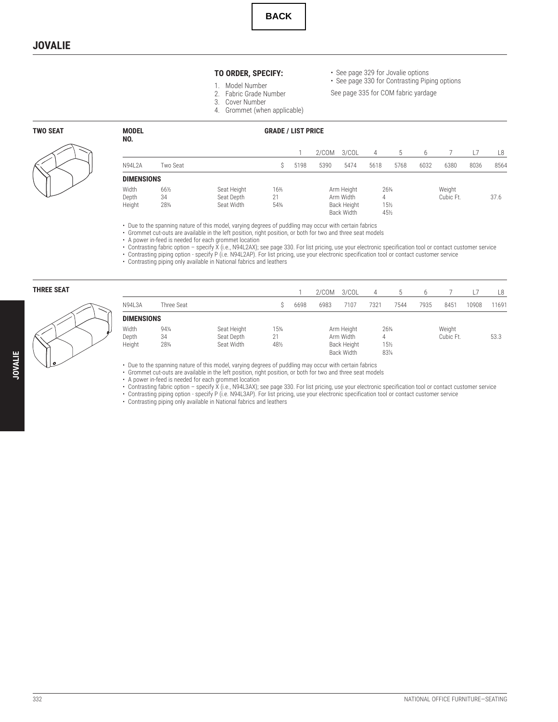- **TO ORDER, SPECIFY:** 1. Model Number
- See page [329](#page-2-0) for Jovalie options
- See page [330](#page-3-0) for Contrasting Piping options
- See page [335](#page-8-0) for COM fabric yardage
- 2. Fabric Grade Number 3. Cover Number
- 4. Grommet (when applicable)

|  |                                     |  | .<br>_____ |  |  |
|--|-------------------------------------|--|------------|--|--|
|  |                                     |  |            |  |  |
|  |                                     |  |            |  |  |
|  |                                     |  |            |  |  |
|  |                                     |  |            |  |  |
|  |                                     |  |            |  |  |
|  |                                     |  |            |  |  |
|  |                                     |  |            |  |  |
|  |                                     |  |            |  |  |
|  |                                     |  |            |  |  |
|  |                                     |  |            |  |  |
|  | the contract of the contract of the |  |            |  |  |
|  |                                     |  |            |  |  |

<span id="page-5-0"></span>



#### **TWO SEADE / LIST PRICE NO.**

|                   |          |             |     |      | 2/COM      | 3/COL       |       | 5               |      |           |      | L8   |
|-------------------|----------|-------------|-----|------|------------|-------------|-------|-----------------|------|-----------|------|------|
| N94L2A            | Two Seat |             |     | 5198 | 5390       | 5474        | 5618  | 5768            | 6032 | 6380      | 8036 | 8564 |
| <b>DIMENSIONS</b> |          |             |     |      |            |             |       |                 |      |           |      |      |
| Width             | 66½      | Seat Height | 16% |      |            | Arm Height  | 263/4 |                 |      | Weight    |      |      |
| Depth             | 34       | Seat Depth  | 21  |      |            | Arm Width   | 4     |                 |      | Cubic Ft. |      | 37.6 |
| Height            | 281/4    | Seat Width  | 54% |      |            | Back Height |       | $15\frac{1}{2}$ |      |           |      |      |
|                   |          |             |     |      | Back Width | 451/2       |       |                 |      |           |      |      |

• Due to the spanning nature of this model, varying degrees of puddling may occur with certain fabrics

• Grommet cut-outs are available in the left position, right position, or both for two and three seat models

• A power in-feed is needed for each grommet location

• Contrasting fabric option – specify X (i.e., N94L2AX); see page [330.](#page-3-0) For list pricing, use your electronic specification tool or contact customer service • Contrasting piping option - specify P (i.e. N94L2AP). For list pricing, use your electronic specification tool or contact customer service

• Contrasting piping only available in National fabrics and leathers

| THREE SEAT |                          |                                |                                         |                    |      | 2/COM | 3/COL                                                | 4    |                       |      |                     |       | L8    |
|------------|--------------------------|--------------------------------|-----------------------------------------|--------------------|------|-------|------------------------------------------------------|------|-----------------------|------|---------------------|-------|-------|
|            | N94L3A                   | Three Seat                     |                                         |                    | 6698 | 6983  | 7107                                                 | 7321 | 7544                  | 7935 | 8451                | 10908 | 11691 |
|            | <b>DIMENSIONS</b>        |                                |                                         |                    |      |       |                                                      |      |                       |      |                     |       |       |
| ∽          | Width<br>Depth<br>Height | $94\frac{1}{4}$<br>34<br>281/4 | Seat Height<br>Seat Depth<br>Seat Width | 15%<br>21<br>481/2 |      |       | Arm Height<br>Arm Width<br>Back Height<br>Back Width | 4    | 263/4<br>15½<br>831/4 |      | Weight<br>Cubic Ft. |       | 53.3  |

• Due to the spanning nature of this model, varying degrees of puddling may occur with certain fabrics

• Grommet cut-outs are available in the left position, right position, or both for two and three seat models

• A power in-feed is needed for each grommet location

• Contrasting fabric option – specify X (i.e., N94L3AX); see page [330.](#page-3-0) For list pricing, use your electronic specification tool or contact customer service

• Contrasting piping option - specify P (i.e. N94L3AP). For list pricing, use your electronic specification tool or contact customer service

• Contrasting piping only available in National fabrics and leathers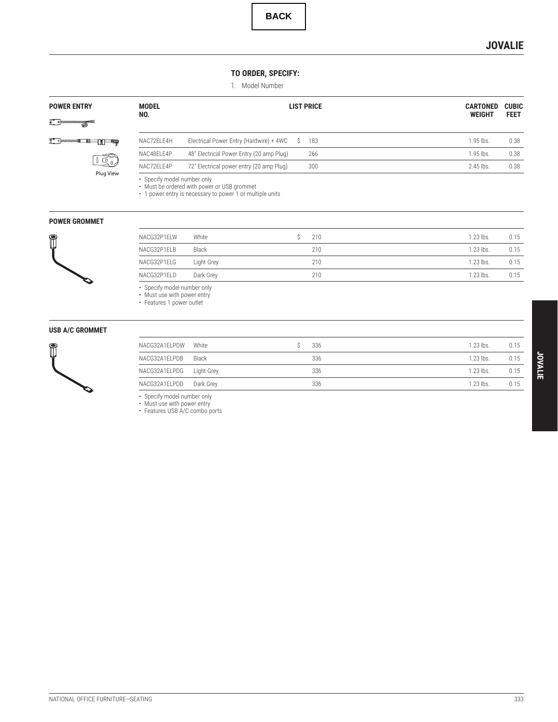## **JOVALIE**

#### **TO ORDER, SPECIFY:**

1. Model Number

<span id="page-6-0"></span>

| <b>POWER ENTRY</b><br>I Bun    | <b>MODEL</b><br>NO. |                                                                                                          |    | <b>LIST PRICE</b> | <b>CARTONED</b><br><b>WEIGHT</b> | <b>CUBIC</b><br><b>FEET</b> |
|--------------------------------|---------------------|----------------------------------------------------------------------------------------------------------|----|-------------------|----------------------------------|-----------------------------|
| e <i>summ</i><br>15            | NAC72ELE4H          | Electrical Power Entry (Hardwire) + 4WC                                                                  | Ŝ. | 183               | 1.95 lbs.                        | 0.38                        |
|                                | NAC48ELE4P          | 48" Electrical Power Entry (20 amp Plug)                                                                 |    | 266               | 1.95 lbs.                        | 0.38                        |
| $\overline{16}$ n<br>Plug View | NAC72ELE4P          | 72" Electrical power entry (20 amp Plug)                                                                 |    | 300               | 2.45 lbs.                        | 0.38                        |
| <b>POWER GROMMET</b>           |                     | • Must be ordered with power or USB grommet<br>• 1 power entry is necessary to power 1 or multiple units |    |                   |                                  |                             |
|                                | NACG32P1ELW         | White                                                                                                    | \$ | 210               | 1.23 lbs.                        | 0.15                        |
| $\mathbb{\mathbb{C}}$          | NACG32P1ELB         | Black                                                                                                    |    | 210               | 1.23 lbs.                        | 0.15                        |
|                                | NACG32P1ELG         | Light Grey                                                                                               |    | 210               | 1.23 lbs.                        | 0.15                        |
|                                | NACG32P1ELD         | Dark Grey                                                                                                |    | 210               | 1.23 lbs.                        | 0.15                        |

| ACG32P1ELB                | Black      | 210 |  |  |  |
|---------------------------|------------|-----|--|--|--|
| ACG32P1ELG                | Light Grey | 210 |  |  |  |
| ACG32P1ELD                | Dark Grey  | 210 |  |  |  |
| Consify model number only |            |     |  |  |  |

• Specify model number only<br>• Must use with power entry<br>• Features 1 power outlet

#### **USB A/C GROMMET**



| NACG32A1ELPDW | White      | 336 | 1.23 lbs. | 0.15 |
|---------------|------------|-----|-----------|------|
| NACG32A1ELPDB | Black      | 336 | 1.23 lbs. | 0.15 |
| NACG32A1ELPDG | Light Grey | 336 | 1.23 lbs. | 0.15 |
| NACG32A1ELPDD | Dark Grev  | 336 | 1.23 lbs. | 0.15 |

• Specify model number only • Must use with power entry • Features USB A/C combo ports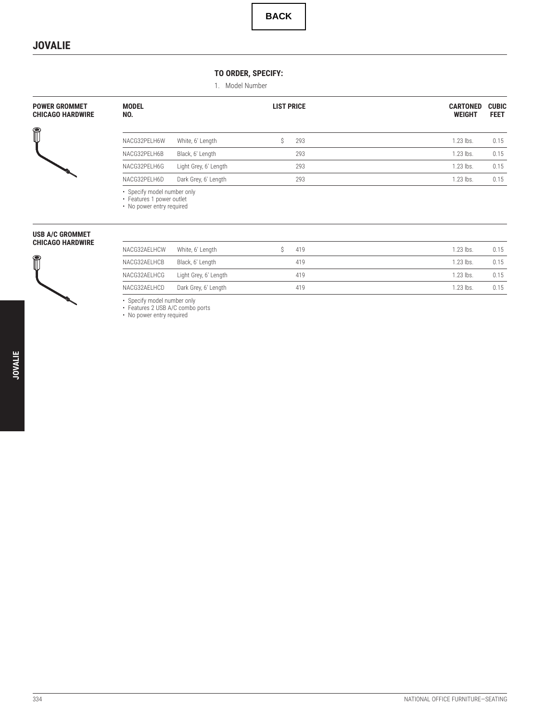#### **TO ORDER, SPECIFY:**

1. Model Number

<span id="page-7-0"></span>

| POWER GROMMET<br><b>CHICAGO HARDWIRE</b> | <b>MODEL</b><br>NO.                                                                   |                       | <b>LIST PRICE</b> | <b>CARTONED</b><br><b>WEIGHT</b> | <b>CUBIC</b><br><b>FEET</b> |
|------------------------------------------|---------------------------------------------------------------------------------------|-----------------------|-------------------|----------------------------------|-----------------------------|
| Î                                        | NACG32PELH6W                                                                          | White, 6' Length      | 293               | 1.23 lbs.                        | 0.15                        |
|                                          | NACG32PELH6B                                                                          | Black, 6' Length      | 293               | 1.23 lbs.                        | 0.15                        |
|                                          | NACG32PELH6G                                                                          | Light Grey, 6' Length | 293               | 1.23 lbs.                        | 0.15                        |
|                                          | NACG32PELH6D                                                                          | Dark Grey, 6' Length  | 293               | 1.23 lbs.                        | 0.15                        |
|                                          | • Specify model number only<br>• Features 1 power outlet<br>• No power entry required |                       |                   |                                  |                             |

| USB A/C GROMMET |                         |
|-----------------|-------------------------|
|                 | <b>CHICAGO HARDWIRE</b> |

 $\mathbb{P}$ 

| NACG32AELHCW | White, 6' Length      | 419 | $1.23$ lbs. | 0.15 |
|--------------|-----------------------|-----|-------------|------|
| NACG32AELHCB | Black, 6' Length      | 419 | $1.23$ lbs. | 0.15 |
| NACG32AELHCG | Light Grey, 6' Length | 419 | $1.23$ lbs. | 0.15 |
| NACG32AELHCD | Dark Grey, 6' Length  | 419 | $1.23$ lbs. | 0.15 |

• Specify model number only<br>• Features 2 USB A/C combo ports<br>• No power entry required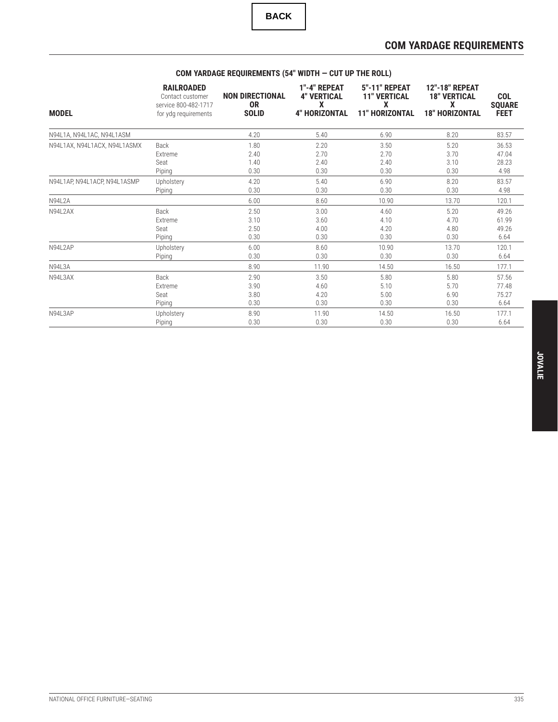## **COM YARDAGE REQUIREMENTS**

<span id="page-8-0"></span>

| <b>MODEL</b>                 | <b>RAILROADED</b><br>Contact customer<br>service 800-482-1717<br>for ydg requirements | <b>NON DIRECTIONAL</b><br>0R<br><b>SOLID</b> | 1"-4" REPEAT<br><b>4" VERTICAL</b><br>X<br><b>4" HORIZONTAL</b> | <b>5"-11" REPEAT</b><br><b>11" VERTICAL</b><br>X<br><b>11" HORIZONTAL</b> | <b>12"-18" REPEAT</b><br><b>18" VERTICAL</b><br>X<br><b>18" HORIZONTAL</b> | <b>COL</b><br><b>SQUARE</b><br><b>FEET</b> |
|------------------------------|---------------------------------------------------------------------------------------|----------------------------------------------|-----------------------------------------------------------------|---------------------------------------------------------------------------|----------------------------------------------------------------------------|--------------------------------------------|
| N94L1A, N94L1AC, N94L1ASM    |                                                                                       | 4.20                                         | 5.40                                                            | 6.90                                                                      | 8.20                                                                       | 83.57                                      |
| N94L1AX, N94L1ACX, N94L1ASMX | Back                                                                                  | 1.80                                         | 2.20                                                            | 3.50                                                                      | 5.20                                                                       | 36.53                                      |
|                              | Extreme                                                                               | 2.40                                         | 2.70                                                            | 2.70                                                                      | 3.70                                                                       | 47.04                                      |
|                              | Seat                                                                                  | 1.40                                         | 2.40                                                            | 2.40                                                                      | 3.10                                                                       | 28.23                                      |
|                              | Piping                                                                                | 0.30                                         | 0.30                                                            | 0.30                                                                      | 0.30                                                                       | 4.98                                       |
| N94L1AP, N94L1ACP, N94L1ASMP | Upholstery                                                                            | 4.20                                         | 5.40                                                            | 6.90                                                                      | 8.20                                                                       | 83.57                                      |
|                              | Piping                                                                                | 0.30                                         | 0.30                                                            | 0.30                                                                      | 0.30                                                                       | 4.98                                       |
| <b>N94L2A</b>                |                                                                                       | 6.00                                         | 8.60                                                            | 10.90                                                                     | 13.70                                                                      | 120.1                                      |
| N94L2AX                      | Back                                                                                  | 2.50                                         | 3.00                                                            | 4.60                                                                      | 5.20                                                                       | 49.26                                      |
|                              | Extreme                                                                               | 3.10                                         | 3.60                                                            | 4.10                                                                      | 4.70                                                                       | 61.99                                      |
|                              | Seat                                                                                  | 2.50                                         | 4.00                                                            | 4.20                                                                      | 4.80                                                                       | 49.26                                      |
|                              | Piping                                                                                | 0.30                                         | 0.30                                                            | 0.30                                                                      | 0.30                                                                       | 6.64                                       |
| N94L2AP                      | Upholstery                                                                            | 6.00                                         | 8.60                                                            | 10.90                                                                     | 13.70                                                                      | 120.1                                      |
|                              | Piping                                                                                | 0.30                                         | 0.30                                                            | 0.30                                                                      | 0.30                                                                       | 6.64                                       |
| <b>N94L3A</b>                |                                                                                       | 8.90                                         | 11.90                                                           | 14.50                                                                     | 16.50                                                                      | 177.1                                      |
| N94L3AX                      | Back                                                                                  | 2.90                                         | 3.50                                                            | 5.80                                                                      | 5.80                                                                       | 57.56                                      |
|                              | Extreme                                                                               | 3.90                                         | 4.60                                                            | 5.10                                                                      | 5.70                                                                       | 77.48                                      |
|                              | Seat                                                                                  | 3.80                                         | 4.20                                                            | 5.00                                                                      | 6.90                                                                       | 75.27                                      |
|                              | Piping                                                                                | 0.30                                         | 0.30                                                            | 0.30                                                                      | 0.30                                                                       | 6.64                                       |
| N94L3AP                      | Upholstery                                                                            | 8.90                                         | 11.90                                                           | 14.50                                                                     | 16.50                                                                      | 177.1                                      |
|                              | Piping                                                                                | 0.30                                         | 0.30                                                            | 0.30                                                                      | 0.30                                                                       | 6.64                                       |

## **COM YARDAGE REQUIREMENTS (54" WIDTH — CUT UP THE ROLL)**